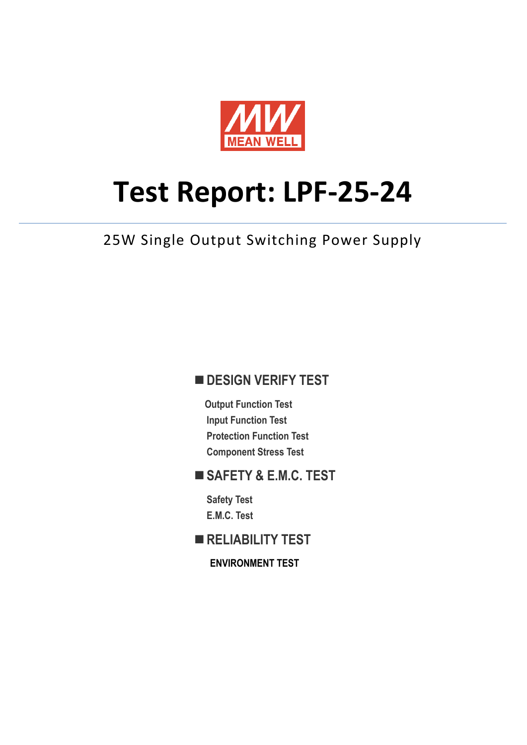

# **Test Report: LPF-25-24**

25W Single Output Switching Power Supply

#### **DESIGN VERIFY TEST**

**Output Function Test Input Function Test Protection Function Test Component Stress Test**

#### **SAFETY & E.M.C. TEST**

**Safety Test E.M.C. Test**

**RELIABILITY TEST**

**ENVIRONMENT TEST**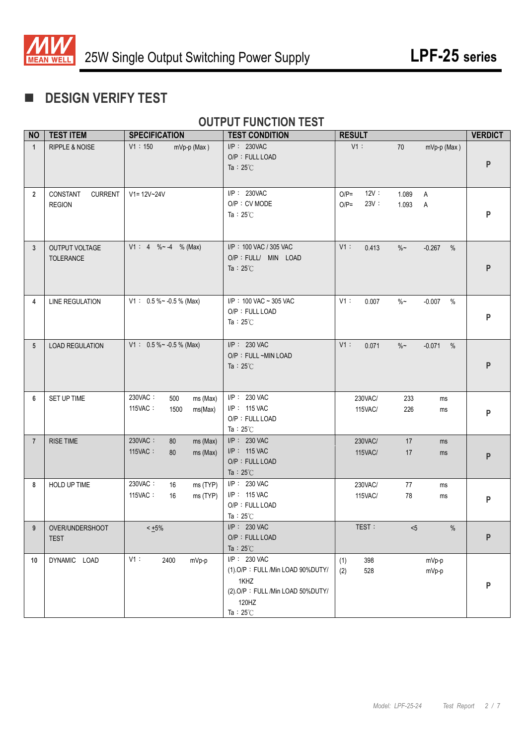

# **DESIGN VERIFY TEST**

#### **OUTPUT FUNCTION TEST**

| <b>NO</b>      | <b>TEST ITEM</b>                            | <b>SPECIFICATION</b>                                     | <b>TEST CONDITION</b>                                                                                                       | <b>RESULT</b>                                                  | <b>VERDICT</b>                |  |
|----------------|---------------------------------------------|----------------------------------------------------------|-----------------------------------------------------------------------------------------------------------------------------|----------------------------------------------------------------|-------------------------------|--|
| $\mathbf{1}$   | <b>RIPPLE &amp; NOISE</b>                   | V1:150<br>mVp-p (Max)                                    | I/P: 230VAC<br>O/P: FULL LOAD<br>Ta: $25^{\circ}$ C                                                                         | V1:<br>70                                                      | mVp-p (Max)<br>${\sf P}$      |  |
| $\overline{2}$ | <b>CURRENT</b><br>CONSTANT<br><b>REGION</b> | $V1 = 12V - 24V$                                         | I/P: 230VAC<br>O/P: CV MODE<br>Ta: $25^{\circ}$ C                                                                           | 12V:<br>$O/P =$<br>1.089<br>A<br>23V:<br>$O/P =$<br>1.093<br>A | P                             |  |
| 3              | OUTPUT VOLTAGE<br>TOLERANCE                 | $V1: 4 % -4 % (Max)$                                     | I/P: 100 VAC / 305 VAC<br>O/P : FULL/ MIN LOAD<br>Ta: $25^{\circ}$ C                                                        | V1:<br>0.413<br>$\%$ ~                                         | $-0.267$<br>%<br>P            |  |
| 4              | <b>LINE REGULATION</b>                      | $V1: 0.5\%~ 0.5\%$ (Max)                                 | I/P: 100 VAC ~ 305 VAC<br>O/P: FULL LOAD<br>Ta: $25^{\circ}$ C                                                              | V1:<br>$\%$ $\sim$<br>0.007                                    | $\%$<br>$-0.007$<br>P         |  |
| 5              | <b>LOAD REGULATION</b>                      | $V1: 0.5\%~ 0.5\%$ (Max)                                 | I/P: 230 VAC<br>O/P : FULL ~MIN LOAD<br>Ta : $25^{\circ}$ C                                                                 | V1:<br>0.071<br>$\%$ ~                                         | $-0.071$<br>$\%$<br>${\sf P}$ |  |
| 6              | SET UP TIME                                 | 230VAC:<br>500<br>ms (Max)<br>115VAC:<br>1500<br>ms(Max) | I/P: 230 VAC<br>I/P: 115 VAC<br>O/P: FULL LOAD<br>Ta: $25^{\circ}$ C                                                        | 230VAC/<br>233<br>115VAC/<br>226                               | ms<br>ms<br>P                 |  |
| $\overline{7}$ | <b>RISE TIME</b>                            | 230VAC:<br>80<br>ms (Max)<br>115VAC:<br>80<br>ms (Max)   | $I/P$ : 230 VAC<br>I/P: 115 VAC<br>O/P: FULL LOAD<br>Ta: $25^{\circ}$ C                                                     | 230VAC/<br>17<br>115VAC/<br>17                                 | ms<br>ms<br>P                 |  |
| 8              | HOLD UP TIME                                | 230VAC:<br>16<br>ms (TYP)<br>115VAC:<br>ms (TYP)<br>16   | I/P: 230 VAC<br>I/P: 115 VAC<br>O/P: FULL LOAD<br>Ta: $25^{\circ}$ C                                                        | 230VAC/<br>77<br>78<br>115VAC/                                 | ms<br>ms<br>P                 |  |
| $9 \mid$       | OVER/UNDERSHOOT<br><b>TEST</b>              | $< +5\%$                                                 | I/P: 230 VAC<br>O/P: FULL LOAD<br>Ta: $25^{\circ}$ C                                                                        | TEST:<br>< 5                                                   | $\%$<br>P                     |  |
| 10             | DYNAMIC LOAD                                | V1:<br>2400<br>mVp-p                                     | I/P: 230 VAC<br>(1) O/P: FULL /Min LOAD 90%DUTY/<br>1KHZ<br>(2).O/P: FULL /Min LOAD 50%DUTY/<br>120HZ<br>Ta: $25^{\circ}$ C | (1)<br>398<br>528<br>(2)                                       | mVp-p<br>mVp-p<br>P           |  |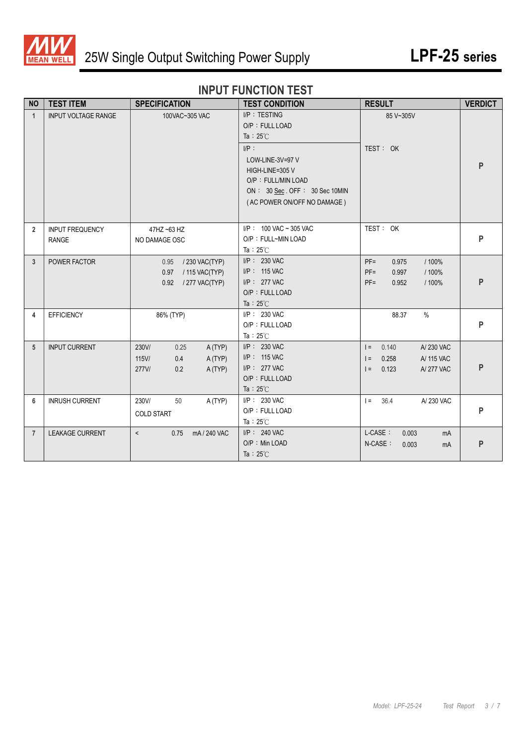

### **INPUT FUNCTION TEST**

| <b>NO</b>      | <b>TEST ITEM</b>                       | <b>SPECIFICATION</b>                                                            | <b>TEST CONDITION</b>                                                                                                                                                                           | <b>RESULT</b>                                                                        | <b>VERDICT</b> |
|----------------|----------------------------------------|---------------------------------------------------------------------------------|-------------------------------------------------------------------------------------------------------------------------------------------------------------------------------------------------|--------------------------------------------------------------------------------------|----------------|
| $\overline{1}$ | <b>INPUT VOLTAGE RANGE</b>             | 100VAC~305 VAC                                                                  | I/P: TESTING<br>O/P: FULL LOAD<br>Ta : $25^{\circ}$ C<br>$I/P$ :<br>LOW-LINE-3V=97 V<br>HIGH-LINE=305 V<br>O/P: FULL/MIN LOAD<br>ON : 30 Sec. OFF : 30 Sec 10MIN<br>(AC POWER ON/OFF NO DAMAGE) | 85 V~305V<br>TEST: OK                                                                | P              |
| $\overline{2}$ | <b>INPUT FREQUENCY</b><br><b>RANGE</b> | 47HZ ~63 HZ<br>NO DAMAGE OSC                                                    | $I/P$ : 100 VAC ~ 305 VAC<br>O/P: FULL~MIN LOAD<br>Ta: $25^{\circ}$ C                                                                                                                           | TEST: OK                                                                             | P              |
| 3              | POWER FACTOR                           | 0.95 / 230 VAC(TYP)<br>0.97<br>/ 115 VAC(TYP)<br>0.92<br>/ 277 VAC(TYP)         | I/P: 230 VAC<br>$I/P$ : 115 VAC<br>I/P: 277 VAC<br>O/P: FULL LOAD<br>Ta : $25^{\circ}$ C                                                                                                        | $PF =$<br>/ 100%<br>0.975<br>$PF =$<br>0.997<br>/ 100%<br>$PF =$<br>0.952<br>/ 100%  | P              |
| 4              | <b>EFFICIENCY</b>                      | 86% (TYP)                                                                       | $I/P$ : 230 VAC<br>O/P: FULL LOAD<br>Ta: $25^{\circ}$ C                                                                                                                                         | $\frac{0}{0}$<br>88.37                                                               | P              |
| 5              | <b>INPUT CURRENT</b>                   | 230V/<br>0.25<br>A(TYP)<br>0.4<br>$115$ V/<br>A(TYP)<br>277V/<br>0.2<br>A (TYP) | $I/P$ : 230 VAC<br>I/P: 115 VAC<br>I/P: 277 VAC<br>O/P: FULL LOAD<br>Ta: $25^{\circ}$ C                                                                                                         | 0.140<br>A/230 VAC<br>$=$<br>0.258<br>A/ 115 VAC<br>$=$<br>0.123<br>A/277 VAC<br>$=$ | P              |
| 6              | <b>INRUSH CURRENT</b>                  | 230V/<br>50<br>A (TYP)<br><b>COLD START</b>                                     | $I/P$ : 230 VAC<br>O/P: FULL LOAD<br>Ta: $25^{\circ}$ C                                                                                                                                         | A/230 VAC<br>$I = 36.4$                                                              | P              |
| $\overline{7}$ | LEAKAGE CURRENT                        | mA / 240 VAC<br>$\prec$<br>0.75                                                 | I/P: 240 VAC<br>O/P: Min LOAD<br>Ta: $25^{\circ}$ C                                                                                                                                             | L-CASE:<br>0.003<br>mA<br>N-CASE:<br>0.003<br>mA                                     | P              |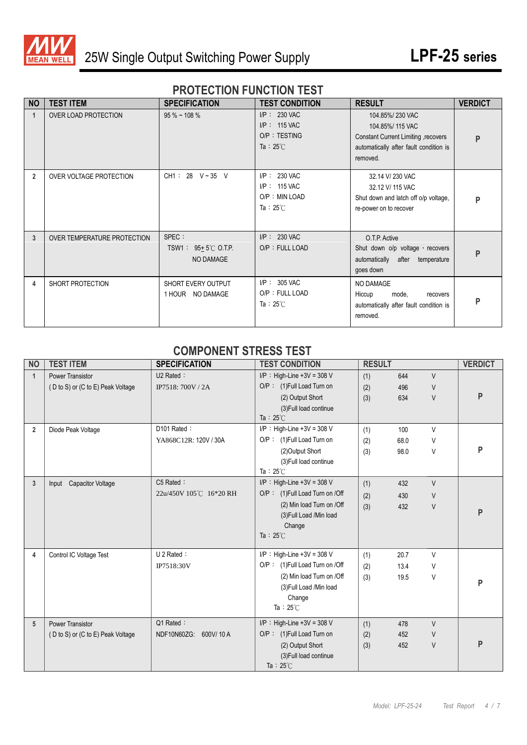

#### **PROTECTION FUNCTION TEST**

| <b>NO</b>      | <b>TEST ITEM</b>            | <b>SPECIFICATION</b>                                 | <b>TEST CONDITION</b>                                                      | <b>RESULT</b>                                                                                                                   | <b>VERDICT</b> |
|----------------|-----------------------------|------------------------------------------------------|----------------------------------------------------------------------------|---------------------------------------------------------------------------------------------------------------------------------|----------------|
| 1              | <b>OVER LOAD PROTECTION</b> | $95\%$ ~ 108 %                                       | $I/P$ : 230 VAC<br>$I/P$ : 115 VAC<br>O/P: TESTING<br>Ta: $25^{\circ}$ C   | 104.85%/230 VAC<br>104.85%/115 VAC<br>Constant Current Limiting, recovers<br>automatically after fault condition is<br>removed. | P              |
| $\overline{2}$ | OVER VOLTAGE PROTECTION     | CH1: 28 V ~ 35 V                                     | $I/P$ : 230 VAC<br>$I/P$ : 115 VAC<br>O/P: MIN LOAD<br>Ta : $25^{\circ}$ C | 32.14 V/230 VAC<br>32.12 V/ 115 VAC<br>Shut down and latch off o/p voltage,<br>re-power on to recover                           | P              |
| 3              | OVER TEMPERATURE PROTECTION | SPEC :<br>TSW1: $95+5^{\circ}$ C O.T.P.<br>NO DAMAGE | $I/P$ : 230 VAC<br>O/P: FULL LOAD                                          | O.T.P. Active<br>Shut down o/p voltage, recovers<br>automatically after temperature<br>goes down                                | P              |
| 4              | SHORT PROTECTION            | SHORT EVERY OUTPUT<br>NO DAMAGE<br>1 HOUR            | $I/P$ : 305 VAC<br>O/P: FULL LOAD<br>Ta: $25^{\circ}$ C                    | NO DAMAGE<br>Hiccup<br>mode,<br>recovers<br>automatically after fault condition is<br>removed.                                  | P              |

#### **COMPONENT STRESS TEST**

| <b>NO</b>      | <b>TEST ITEM</b>                  | <b>SPECIFICATION</b>    | <b>TEST CONDITION</b>          | <b>RESULT</b> |      |        | <b>VERDICT</b> |
|----------------|-----------------------------------|-------------------------|--------------------------------|---------------|------|--------|----------------|
| $\mathbf{1}$   | <b>Power Transistor</b>           | $U2$ Rated :            | $I/P$ : High-Line +3V = 308 V  | (1)           | 644  | $\vee$ |                |
|                | (D to S) or (C to E) Peak Voltage | IP7518: 700V / 2A       | O/P: (1)Full Load Turn on      | (2)           | 496  | V      |                |
|                |                                   |                         | (2) Output Short               | (3)           | 634  | $\vee$ | P              |
|                |                                   |                         | (3) Full load continue         |               |      |        |                |
|                |                                   |                         | Ta: $25^{\circ}$ C             |               |      |        |                |
| $\overline{2}$ | Diode Peak Voltage                | D101 Rated:             | $I/P$ : High-Line +3V = 308 V  | (1)           | 100  | V      |                |
|                |                                   | YA868C12R: 120V / 30A   | O/P: (1) Full Load Turn on     | (2)           | 68.0 | V      |                |
|                |                                   |                         | (2) Output Short               | (3)           | 98.0 | V      | P              |
|                |                                   |                         | (3) Full load continue         |               |      |        |                |
|                |                                   |                         | Ta: $25^{\circ}$ C             |               |      |        |                |
| 3              | Input Capacitor Voltage           | C5 Rated:               | $I/P$ : High-Line +3V = 308 V  | (1)           | 432  | $\vee$ |                |
|                |                                   | 22u/450V 105℃ 16*20 RH  | O/P: (1)Full Load Turn on /Off | (2)           | 430  | $\vee$ |                |
|                |                                   |                         | (2) Min load Turn on /Off      | (3)           | 432  | $\vee$ |                |
|                |                                   |                         | (3) Full Load /Min load        |               |      |        | P              |
|                |                                   |                         | Change                         |               |      |        |                |
|                |                                   |                         | Ta: $25^{\circ}$ C             |               |      |        |                |
| 4              | Control IC Voltage Test           | U 2 Rated:              | $I/P$ : High-Line +3V = 308 V  | (1)           | 20.7 | V      |                |
|                |                                   | IP7518:30V              | O/P: (1)Full Load Turn on /Off | (2)           | 13.4 | V      |                |
|                |                                   |                         | (2) Min load Turn on /Off      | (3)           | 19.5 | V      |                |
|                |                                   |                         | (3) Full Load /Min load        |               |      |        | P              |
|                |                                   |                         | Change                         |               |      |        |                |
|                |                                   |                         | Ta: $25^{\circ}$ C             |               |      |        |                |
| 5              | <b>Power Transistor</b>           | Q1 Rated:               | $I/P$ : High-Line +3V = 308 V  | (1)           | 478  | $\vee$ |                |
|                | (D to S) or (C to E) Peak Voltage | NDF10N60ZG:<br>600V/10A | O/P: (1) Full Load Turn on     | (2)           | 452  | $\vee$ |                |
|                |                                   |                         | (2) Output Short               | (3)           | 452  | $\vee$ | P              |
|                |                                   |                         | (3) Full load continue         |               |      |        |                |
|                |                                   |                         | Ta: $25^{\circ}$ C             |               |      |        |                |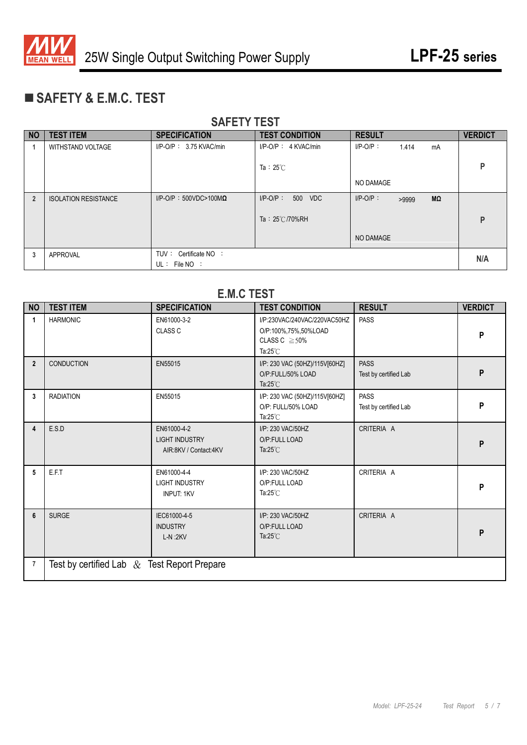

# **SAFETY & E.M.C. TEST**

| <b>NO</b>      | <b>TEST ITEM</b>            | <b>SPECIFICATION</b>             | <b>TEST CONDITION</b>    | <b>RESULT</b>              | <b>VERDICT</b> |
|----------------|-----------------------------|----------------------------------|--------------------------|----------------------------|----------------|
|                | <b>WITHSTAND VOLTAGE</b>    | $I/P$ -O/P: 3.75 KVAC/min        | $I/P$ -O/P : 4 KVAC/min  | $I/P-O/P$ :<br>1.414<br>mA |                |
|                |                             |                                  |                          |                            |                |
|                |                             |                                  | Ta: $25^{\circ}$ C       |                            | P              |
|                |                             |                                  |                          | NO DAMAGE                  |                |
| $\overline{2}$ | <b>ISOLATION RESISTANCE</b> | $I/P$ -O/P: 500VDC>100M $\Omega$ | $I/P$ -O/P:<br>500 VDC   | $I/P-O/P$ :<br>MΩ<br>>9999 |                |
|                |                             |                                  |                          |                            |                |
|                |                             |                                  | Ta: $25^{\circ}$ C/70%RH |                            | P              |
|                |                             |                                  |                          | NO DAMAGE                  |                |
|                |                             |                                  |                          |                            |                |
| 3              | APPROVAL                    | TUV: Certificate NO:             |                          |                            | N/A            |
|                |                             | $UL:$ File NO :                  |                          |                            |                |

#### **SAFETY TEST**

#### **E.M.C TEST**

| <b>NO</b>      | <b>TEST ITEM</b>                               | <b>SPECIFICATION</b>                                          | <b>TEST CONDITION</b>                                                                             | <b>RESULT</b>                        | <b>VERDICT</b> |
|----------------|------------------------------------------------|---------------------------------------------------------------|---------------------------------------------------------------------------------------------------|--------------------------------------|----------------|
| 1              | <b>HARMONIC</b>                                | EN61000-3-2<br>CLASS <sub>C</sub>                             | I/P:230VAC/240VAC/220VAC50HZ<br>O/P:100%,75%,50%LOAD<br>CLASS $C \geq 50\%$<br>Ta: $25^{\circ}$ C | <b>PASS</b>                          | P              |
| $\overline{2}$ | <b>CONDUCTION</b>                              | EN55015                                                       | I/P: 230 VAC (50HZ)/115V[60HZ]<br>O/P:FULL/50% LOAD<br>Ta: $25^{\circ}$ C                         | <b>PASS</b><br>Test by certified Lab | P              |
| 3              | <b>RADIATION</b>                               | EN55015                                                       | I/P: 230 VAC (50HZ)/115V[60HZ]<br>O/P: FULL/50% LOAD<br>Ta: $25^{\circ}$ C                        | <b>PASS</b><br>Test by certified Lab | P              |
| 4              | E.S.D                                          | EN61000-4-2<br><b>LIGHT INDUSTRY</b><br>AIR:8KV / Contact:4KV | I/P: 230 VAC/50HZ<br>O/P:FULL LOAD<br>Ta: $25^{\circ}$ C                                          | CRITERIA A                           | P              |
| 5              | E.F.T                                          | EN61000-4-4<br><b>LIGHT INDUSTRY</b><br><b>INPUT: 1KV</b>     | I/P: 230 VAC/50HZ<br>O/P:FULL LOAD<br>Ta: $25^{\circ}$ C                                          | CRITERIA A                           | P              |
| 6              | <b>SURGE</b>                                   | IEC61000-4-5<br><b>INDUSTRY</b><br>$L-N:2KV$                  | I/P: 230 VAC/50HZ<br>O/P:FULL LOAD<br>Ta: $25^{\circ}$ C                                          | CRITERIA A                           | P              |
| $\overline{7}$ | Test by certified Lab $\&$ Test Report Prepare |                                                               |                                                                                                   |                                      |                |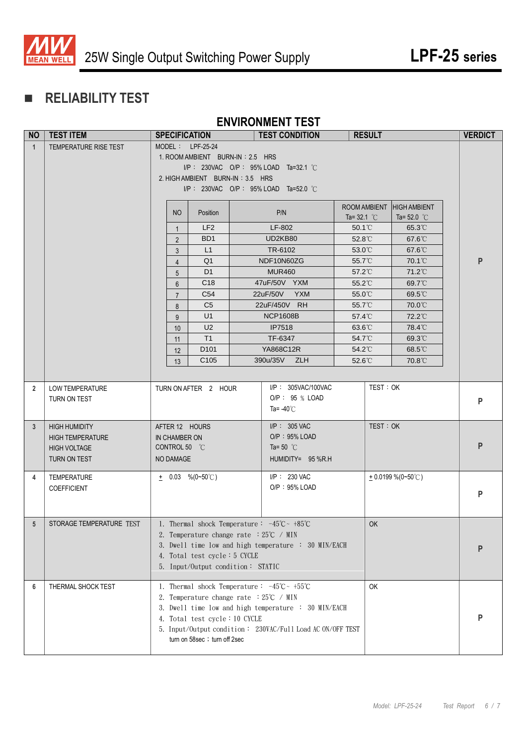

# **RELIABILITY TEST**

#### **ENVIRONMENT TEST**

| <b>NO</b>      | <b>TEST ITEM</b>                                                                       | <b>SPECIFICATION</b>                                                                                                                                                                                                                                                         |                                                                                                                                                                                                                                                                                                                              |  | <b>TEST CONDITION</b>                                       |                                      | <b>RESULT</b> |                                            |  | <b>VERDICT</b> |
|----------------|----------------------------------------------------------------------------------------|------------------------------------------------------------------------------------------------------------------------------------------------------------------------------------------------------------------------------------------------------------------------------|------------------------------------------------------------------------------------------------------------------------------------------------------------------------------------------------------------------------------------------------------------------------------------------------------------------------------|--|-------------------------------------------------------------|--------------------------------------|---------------|--------------------------------------------|--|----------------|
| $\mathbf{1}$   | TEMPERATURE RISE TEST                                                                  | $MODEL: LPF-25-24$<br>1. ROOM AMBIENT BURN-IN : 2.5 HRS<br>$I/P$ : 230VAC O/P : 95% LOAD Ta=32.1 °C<br>2. HIGH AMBIENT BURN-IN: 3.5 HRS<br>$IP: 230VAC$ O/P: 95% LOAD Ta=52.0 °C                                                                                             |                                                                                                                                                                                                                                                                                                                              |  |                                                             |                                      |               |                                            |  |                |
|                |                                                                                        | N <sub>O</sub>                                                                                                                                                                                                                                                               | Position                                                                                                                                                                                                                                                                                                                     |  | P/N                                                         | ROOM AMBIENT<br>Ta= $32.1^{\circ}$ C |               | <b>HIGH AMBIENT</b><br>Ta= $52.0\degree$ C |  |                |
|                |                                                                                        | $\mathbf{1}$                                                                                                                                                                                                                                                                 | LF <sub>2</sub>                                                                                                                                                                                                                                                                                                              |  | LF-802                                                      | $50.1^{\circ}$ C                     |               | $65.3^{\circ}$ C                           |  |                |
|                |                                                                                        | $\overline{2}$                                                                                                                                                                                                                                                               | BD <sub>1</sub>                                                                                                                                                                                                                                                                                                              |  | UD2KB80                                                     | $52.8^{\circ}$ C                     |               | $67.6^{\circ}$ C                           |  |                |
|                |                                                                                        | 3                                                                                                                                                                                                                                                                            | L1                                                                                                                                                                                                                                                                                                                           |  | TR-6102                                                     | $53.0^{\circ}$ C                     |               | 67.6°C                                     |  |                |
|                |                                                                                        | $\overline{4}$                                                                                                                                                                                                                                                               | Q <sub>1</sub>                                                                                                                                                                                                                                                                                                               |  | NDF10N60ZG                                                  | 55.7°C                               |               | $70.1^{\circ}$                             |  | P              |
|                |                                                                                        | 5                                                                                                                                                                                                                                                                            | D <sub>1</sub><br>C <sub>18</sub>                                                                                                                                                                                                                                                                                            |  | <b>MUR460</b><br>47uF/50V YXM                               | $57.2^{\circ}$<br>$55.2^{\circ}$     |               | 71.2°C<br>69.7°C                           |  |                |
|                |                                                                                        | $6\phantom{1}$<br>$\overline{7}$                                                                                                                                                                                                                                             | C <sub>54</sub>                                                                                                                                                                                                                                                                                                              |  | 22uF/50V YXM                                                | 55.0°C                               |               | $69.5^{\circ}$                             |  |                |
|                |                                                                                        | 8                                                                                                                                                                                                                                                                            | C <sub>5</sub>                                                                                                                                                                                                                                                                                                               |  | 22uF/450V RH                                                | 55.7°C                               |               | 70.0°C                                     |  |                |
|                |                                                                                        | 9                                                                                                                                                                                                                                                                            | U1                                                                                                                                                                                                                                                                                                                           |  | <b>NCP1608B</b>                                             | 57.4°C                               |               | 72.2°C                                     |  |                |
|                |                                                                                        | 10                                                                                                                                                                                                                                                                           | U <sub>2</sub>                                                                                                                                                                                                                                                                                                               |  | <b>IP7518</b>                                               | 63.6°C                               |               | 78.4°C                                     |  |                |
|                |                                                                                        | 11                                                                                                                                                                                                                                                                           | T1                                                                                                                                                                                                                                                                                                                           |  | TF-6347                                                     | 54.7°C                               |               | 69.3°C                                     |  |                |
|                |                                                                                        | 12                                                                                                                                                                                                                                                                           | D <sub>101</sub>                                                                                                                                                                                                                                                                                                             |  | YA868C12R                                                   | $54.2^{\circ}$ C                     |               | 68.5°C                                     |  |                |
|                |                                                                                        | 13                                                                                                                                                                                                                                                                           | C <sub>105</sub>                                                                                                                                                                                                                                                                                                             |  | 390u/35V ZLH                                                | $52.6^{\circ}$ C                     |               | 70.8°C                                     |  |                |
|                |                                                                                        |                                                                                                                                                                                                                                                                              |                                                                                                                                                                                                                                                                                                                              |  |                                                             |                                      |               |                                            |  |                |
| $\overline{2}$ | <b>LOW TEMPERATURE</b><br>TURN ON TEST                                                 | TURN ON AFTER 2 HOUR                                                                                                                                                                                                                                                         |                                                                                                                                                                                                                                                                                                                              |  | I/P: 305VAC/100VAC<br>O/P: 95 % LOAD<br>Ta= -40 $\degree$ C |                                      | TEST: OK      |                                            |  | P              |
| 3 <sup>5</sup> | <b>HIGH HUMIDITY</b><br><b>HIGH TEMPERATURE</b><br><b>HIGH VOLTAGE</b><br>TURN ON TEST | NO DAMAGE                                                                                                                                                                                                                                                                    | AFTER 12 HOURS<br>IN CHAMBER ON<br>CONTROL 50 °C<br>Ta= 50 $^{\circ}$ C                                                                                                                                                                                                                                                      |  | $I/P$ : 305 VAC<br>O/P: 95% LOAD<br>HUMIDITY= 95 %R.H       |                                      | TEST: OK      |                                            |  | P              |
| 4              | TEMPERATURE<br><b>COEFFICIENT</b>                                                      | $\pm$ 0.03 %(0~50°C)                                                                                                                                                                                                                                                         |                                                                                                                                                                                                                                                                                                                              |  | I/P: 230 VAC<br>O/P: 95% LOAD                               |                                      |               | $+0.0199\%$ (0~50°C)                       |  | P              |
| 5 <sup>5</sup> | I STORAGE TEMPERATURE TEST                                                             | OK<br>1. Thermal shock Temperature: $-45^{\circ}\text{C} \sim +85^{\circ}\text{C}$<br>2. Temperature change rate $:25^{\circ}C \rightarrow MIN$<br>3. Dwell time low and high temperature : 30 MIN/EACH<br>4. Total test cycle: 5 CYCLE<br>5. Input/Output condition: STATIC |                                                                                                                                                                                                                                                                                                                              |  |                                                             |                                      | Р             |                                            |  |                |
| 6              | THERMAL SHOCK TEST                                                                     |                                                                                                                                                                                                                                                                              | 1. Thermal shock Temperature: $-45^{\circ}\text{C} \sim +55^{\circ}\text{C}$<br><b>OK</b><br>2. Temperature change rate : 25°C / MIN<br>3. Dwell time low and high temperature : 30 MIN/EACH<br>4. Total test cycle: 10 CYCLE<br>5. Input/Output condition: 230VAC/Full Load AC ON/OFF TEST<br>turn on 58sec ; turn off 2sec |  |                                                             |                                      |               |                                            |  |                |